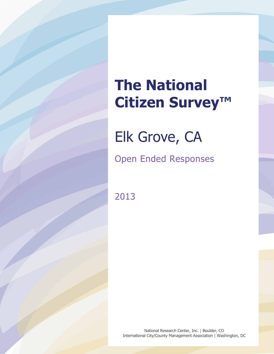# **The National Citizen Survey™**

Elk Grove, CA

Open Ended Responses

2013

National Research Center, Inc. | Boulder, CO International City/County Management Association | Washington, DC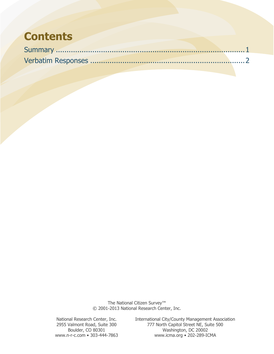### **Contents**

The National Citizen Survey<sup>™</sup> © 2001-2013 National Research Center, Inc.

National Research Center, Inc. International City/County Management Association<br>2955 Valmont Road, Suite 300 777 North Capitol Street NE, Suite 500 2955 Valmont Road, Suite 300 777 North Capitol Street NE, Suite 500 Boulder, CO 80301 Washington, DC 20002<br>www.n-r-c.com • 303-444-7863 www.icma.org • 202-289-IC www.icma.org • 202-289-ICMA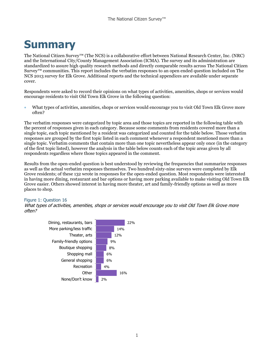# <span id="page-2-0"></span>**Summary**

The National Citizen Survey™ (The NCS) is a collaborative effort between National Research Center, Inc. (NRC) and the International City/County Management Association (ICMA). The survey and its administration are standardized to assure high quality research methods and directly comparable results across The National Citizen Survey™ communities. This report includes the verbatim responses to an open ended question included on The NCS 2013 survey for Elk Grove. Additional reports and the technical appendices are available under separate cover.

Respondents were asked to record their opinions on what types of activities, amenities, shops or services would encourage residents to visit Old Town Elk Grove in the following question:

 What types of activities, amenities, shops or services would encourage you to visit Old Town Elk Grove more often?

The verbatim responses were categorized by topic area and those topics are reported in the following table with the percent of responses given in each category. Because some comments from residents covered more than a single topic, each topic mentioned by a resident was categorized and counted for the table below. Those verbatim responses are grouped by the first topic listed in each comment whenever a respondent mentioned more than a single topic. Verbatim comments that contain more than one topic nevertheless appear only once (in the category of the first topic listed), however the analysis in the table below counts each of the topic areas given by all respondents regardless where those topics appeared in the comment.

Results from the open-ended question is best understood by reviewing the frequencies that summarize responses as well as the actual verbatim responses themselves. Two hundred sixty-nine surveys were completed by Elk Grove residents; of these 132 wrote in responses for the open-ended question. Most respondents were interested in having more dining, restaurant and bar options or having more parking available to make visiting Old Town Elk Grove easier. Others showed interest in having more theater, art and family-friendly options as well as more places to shop.

#### Figure 1: Question 16

What types of activities, amenities, shops or services would encourage you to visit Old Town Elk Grove more often?

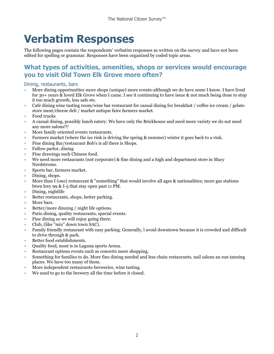## <span id="page-3-0"></span>**Verbatim Responses**

The following pages contain the respondents' verbatim responses as written on the survey and have not been edited for spelling or grammar. Responses have been organized by coded topic areas.

### **What types of activities, amenities, shops or services would encourage you to visit Old Town Elk Grove more often?**

#### Dining, restaurants, bars

- More dining opportunities more shops (unique) more events-although we do have some I know. I have lived for 30+ years & loved Elk Grove when I came. I see it continuing to have issue & not much being done to stop it too much growth, less safe etc.
- Cafe dining wine tasting room/wine bar restaurant for casual dining for breakfast / coffee ice cream / gelato store meat/cheese deli / market antique faire farmers market.
- Food trucks
- A casual dining, possibly lunch eatery. We have only the Brickhouse and need more variety we do not need any more salons!!!
- More family oriented events restaurants.
- Farmers market (where the ice rink is driving the spring & summer) winter it goes back to a rink.
- Fine dining Bar/restaurant Bob's is all there is Shops.
- Fallow parlor, dining
- Fine drawings such Chinese food.
- We need more restaurants (not corporate)  $\&$  fine dining and a high and department store in Macy Nordstroms.
- Sports bar, farmers market.
- Dining, shops.
- More than I (one) restaurant & "something" that would involve all ages & nationalities; more gas stations btwn hwy 99 & I-5 that stay open past 11 PM.
- Dining, nightlife
- Better restaurants, shops, better parking.
- More bars.
- Better/more dinning / night life options.
- Patio dining, quality restaurants, special events.
- Fine dining so we will enjoy going there.
- Club, (like "mix" down town SAC).
- Family friendly restaurant with easy parking. Generally, l avoid downtown because it is crowded and difficult to drive through & park.
- Better food establishments.
- Quality food, most is in Laguna sports Arena.
- Restaurant options events such as concerts more shopping.
- Something for families to do. More fine dining needed and less chain restaurants, nail salons an sun tanning places. We have too many of them.
- More independent restaurants-breweries, wine tasting.
- We used to go to the brewery all the time before it closed.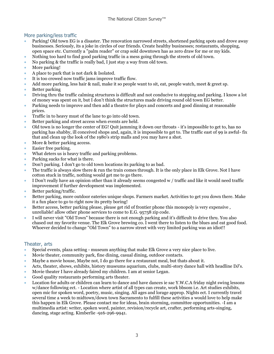#### More parking/less traffic

- Parking! Old town EG is a disaster. The renovation narrowed streets, shortened parking spots and drove away businesses. Seriously, its a joke in circles of our friends. Create healthy businesses; restaurants, shopping, open space etc. Currently a "palm reader" or crap sold downtown has as zero draw for me or my kids.
- Nothing too hard to find good parking traffic in a mess going through the streets of old town.
- No parking & the traffic is really bad, I just stay a way from old town.
- More parking!
- A place to park that is not dark & Isolated.
- It is too crowed now traffic jams improve traffic flow.
- Add more parking, less hair & nail, make it so people want to sit, eat, people watch, meet & greet sp.
- Better parking
- Driving thru the traffic calming structures is difficult and not conducive to stopping and parking. I know a lot of money was spent on it, but I don't think the structures made driving round old town EG better.
- Parking needs to improve and then add a theatre for plays and concerts and good dinning at reasonable prices.
- Traffic in to heavy must of the lane to go into old town.
- Better parking and street access when events are held.
- Old town is no longer the center of EG! Quit jamming it down our throats it's impossible to get to, has no parking has shabby, ill conceived shops and, again, it is impossible to get to. The traffic east of 99 is awful- fix that and clean up the look of the 1980's strip malls and you may have a shot.
- More & better parking access.
- Easier free parking.
- What deters us is heavy traffic and parking problems.
- Parking sucks for what is there.
- Don't parking. I don't go to old town locations its parking to as bad.
- The traffic is always slow there & run the train comes through. It is the only place in Elk Grove. Not I have cotton stuck in traffic, nothing would get me to go there.
- I Don't really have an opinion other than it already seems congested w / traffic and like it would need traffic improvement if further development was implemented.
- Better parking/traffic.
- Better parking, more outdoor eateries unique shops. Farmers market. Activities to get you down there. Make it a fun place to go to right now its pretty boring!
- Better access, better parking please, please get rid of frontier phone this monopoly is very expensive , unreliable! allow other phone services to come to E.G. 95758 zip code.
- I will never visit "Old Town" because there is not enough parking and it's difficult to drive thru. You also chased out my favorite venue. The Elk Grove brewing co. I went there to listen to the blues and eat good food. Whoever decided to change "Old Town" to a narrow street with very limited parking was an idiot!!

#### Theater, arts

- Special events, plaza setting museum anything that make Elk Grove a very nice place to live.
- Movie theater, community park, fine dining, casual dining, outdoor contacts.
- Maybe a movie house, Maybe not, I do go there for a restaurant meal, but thats about it.
- Acts, theater, shows, exhibits, history museums aquarium, clubs, multi-story dance hall with headline DJ's.
- Movie theater I have already faired my children. I am at senior Legan.
- Good quality restaurants performing arts theater.
- Location for adults or children can learn to dance and have dances ie sac Y.W.C.A friday night swing lessons w/dance following ect. - Location where artist of all types can create, work bbsom i.e. Art studies exhibits, open mic for spoken word, poetry, music, singing. All ages and lorage approp. Nights ect. I currently travel several time a week to midtown/down town Sacramento to fulfill these activities a would love to help make this happen in Elk Grove. Please contact me for ideas, brain storming, committee opportunities. -I am a multimedia artist: writer, spoken word, painter, revision/recycle art, crafter, performing arts-singing, dancing, stage acting. Kimberlie -916-296-9941.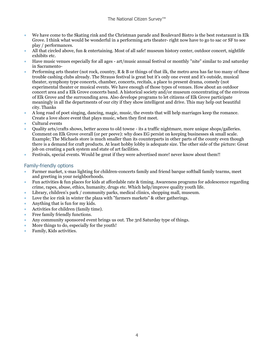- We have come to the Skating rink and the Christman parade and Boulevard Bistro is the best restaraunt in Elk Grove. I think what would be wonderful in a performing arts theater- right now have to go to sac or SF to see play / performances.
- All that circled above, fun & entertaining. Most of all safe! museum history center, outdoor concert, nightlife exhibits etc.
- Have music venues especially for all ages art/music annual festival or monthly "nite" similar to 2nd saturday in Sacramento-
- Performing arts theater (not rock, country, R & B or things of that ilk, the metro area has far too many of these trouble cashing clubs already. The Strauss festival is great but it's only one event and it's outside, musical theater, symphony type concerts, chamber, concerts, recitals, a place to present drama, comedy (not experimental theater or musical events. We have enough of those types of venues. How about an outdoor concert area and a Elk Grove concerts band. A historical society and/or museum concentrating of the environs of Elk Grove and the surrounding area. Also develope programs to let citizens of Elk Grove participate meaningly in all the departments of our city if they show intelligent and drive. This may help out beautiful city. Thanks
- A long road of poet singing, dancing, magic, music, the events that will help marriages keep the romance. Create a love shore event that plays music, when they first meet.
- Cultural events
- Quality arts/crafts shows, better access to old towne its a traffic nightmare, more unique shops/galleries. Comment on Elk Grove overall (or per peeve): why does EG persist on keeping businesses sk small scale. Example; The Michaels store is much smaller than its counterparts in other parts of the county even though there is a demand for craft products. At least hobby lobby is adequate size. The other side of the picture: Great job on creating a park system and state of art facilities.
- Festivals, special events. Would be great if they were advertised more! never know about them!!

#### Family-friendly options

- Farmer market, x-mas lighting for children-concerts family and friend barque softball family tearms, meet and greeting in your neighborhoods.
- Fun activities & fun places for kids at affordable rate & timing. Awareness programs for adolescence regarding crime, rapes, abuse, ethics, humanity, drugs etc. Which help/improve quality youth life.
- Library, children's park / community parks, medical clinics, shopping mall, museum.
- Love the ice rink in winter the plaza with "farmers markets" & other gatherings.
- Anything that is fun for my kids.
- Activities for children (family time).
- Free family friendly functions.
- Any community sponsored event brings us out. The 3rd Saturday type of things.
- More things to do, especially for the youth!
- Family, Kids activities.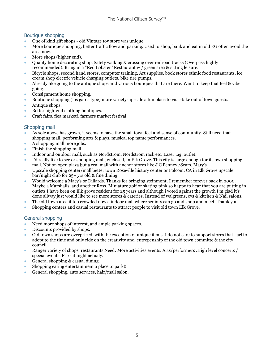#### Boutique shopping

- One of kind gift shops old Vintage toy store was unique.
- More boutique shopping, better traffic flow and parking. Used to shop, bank and eat in old EG often avoid the area now.
- More shops (higher end).
- Quality home decorating shop. Safety walking & crossing over railroad tracks (Overpass highly recommended). Bring in a "Red Lobster "Restaurant w / green area & sitting leisure.
- Bicycle shops, second hand stores, computer training, Art supplies, book stores ethnic food restaurants, ice cream shop electric vehicle charging outlets, bike tire pumps.
- Already like going to the antique shops and various boutiques that are there. Want to keep that feel & vibe going.
- Consignment home shopping.
- Boutique shopping (los gatos type) more variety-upscale a fun place to visit-take out of town guests.
- Antique shops.
- Better high-end clothing boutiques.
- Craft fairs, flea market!, farmers market festival.

#### Shopping mall

- As sole above has grown, it seems to have the small town feel and sense of community. Still need that shopping mall, performing arts & plays, musical top name performances.
- A shopping mall more jobs.
- Finish the shopping mall.
- Indoor and outdoor mall, such as Nordstrom, Nordstrom rack etc. Laser tag, outlet.
- I'd really like to see or shopping mall, enclosed, in Elk Grove. This city is large enough for its own shopping mall. Not on open plaza but a real mall with anchor stores like J C Penney /Sears, Mary's
- Upscale shopping center/mall better town Roseville history center or Folcom, CA in Elk Grove upscale bar/night club for 25+ yrs old & fine dining.
- Would welcome a Macy's or Dillards. Thanks for bringing steinmont. I remember forever back in 2000. Maybe a Marshalls, and another Ross. Miniature golf or skating pink so happy to hear that you are putting in outlets I have been on Elk grove resident for 25 years and although i voted against the growth I'm glad it's done allway just would like to see more stores & cateries. Instead of walgreens, cvs & kitchen & Nail salons.
- The old town area it too crowded now a indoor mall where seniors can go and shop and meet. Thank you
- Shopping centers and casual restaurants to attract people to visit old town Elk Grove.

#### General shopping

- Need more shops of interest, and ample parking spaces.
- Discounts provided by shops.
- Old town shops are overpriced, with the exception of unique items. I do not care to support stores that farl to adopt to the time and only ride on the creativity and entrepenship of the old town committe & the city council.
- Ranger variety of shops, restaurants Need: More activities events. Arts/performers .High level concerts / special events. Fri/sat night actualy.
- General shopping & casual dining.
- Shopping eating entertainment a place to park!!
- General shopping, auto services, hair/mall salon.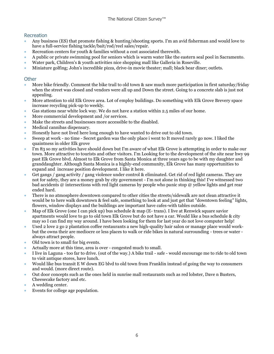#### Recreation

- Any business (ES) that promote fishing & hunting/shooting sports. I'm an avid fisherman and would love to have a full-service fishing tackle/bait/rod/reel sales/repair.
- Recreation centers for youth & families without a cost associated therewith.
- A public or private swimming pool for seniors which is warm water like the eastern seal pool in Sacramento.
- Water park, Children's & youth activities nice shopping mall like Galleria in Roseville.
- Miniature golfing; John's incredible pizza, drive-in movie theater; mall; black bear diner; outlets.

#### **Other**

- More bike friendly. Comment the bike trail to old town & saw much more participation in first saturday/friday when the street was closed and vendors were all up and Down the street. Going to a concrete slab is just not appealing.
- More attention to old Elk Grove area. Lot of employ buildings. Do something with Elk Grove Brevery space increase recycling pick-up to weekly.
- Gas stations near white lock way. We do not have a station within 2.5 miles of our home.
- More commercial development and /or services.
- Make the streets and businesses more accessible to the disabled.
- Medical cannibas dispensary.
- Honestly have not lived here long enough to have wanted to drive out to old town.
- Sweep at work no time Secret garden was the only place i went to It moved rarely go now. I liked the quaintness in older Elk grove
- I'm 83 so my activities have should down but I'm aware of what Elk Grove is attempting in order to make our town. More attractive to tourists and other visitors. I'm Looking for to the development of the site near hwy 99 past Elk Grove blvd. Almost to Elk Grove from Santa Monica at three years ago to be with my daughter and granddaughter. Although Santa Monica is a highly-end community, Elk Grove has many opportunities to expand and increase position development. I like it here.
- Get gangs / gang activity / gang violence under control & eliminated. Get rid of red light cameras. They are not for safety, they are a money grab by city government - I'm not alone in thinking this! I've witnessed two bad accidents @ intersections with red light cameras by people who panic stop @ yellow lights and get rear ended hard.
- There is no atmosphere downtown compared to other cities the streets/sidewalk are not clean attractive it would be to here walk downtown & feel safe, something to look at and just get that "downtown feeling" lights, flowers, window displays and the buildings are important have cafes-with tables outside.
- Map of Elk Grove (one I can pick up) bus schedule & map (E- trans). I live at Renwick square savior apartments would love to go to old town Elk Grove but do not have a car. Would like a bus schedule & city may so I can find my way around. I have been looking for them for last year do not love computer help!
- Used 2 love 2 go 2 plantation coffee restaurants a new high-quality hair salon or manage place would workbut the owns their are mediocre or less places to walk or ride bikes in natural surrounding - trees or water always attract people.
- Old town is to small for big events.
- Actually more at this time, area is over congested much to small.
- I live in Laguna too far to drive. (out of the way.) A bike trail safe would encourage me to ride to old town to visit antique stores, have lunch.
- Would like bus transit E W down EG blvd to old town from Franklin instead of going the way to consumers and would. (more direct route).
- Out door concepts such as the ones held in sunrise mall restaurants such as red lobster, Dave n Busters, Cheesecake factory and etc.
- A wedding center.
- Events for college age population.